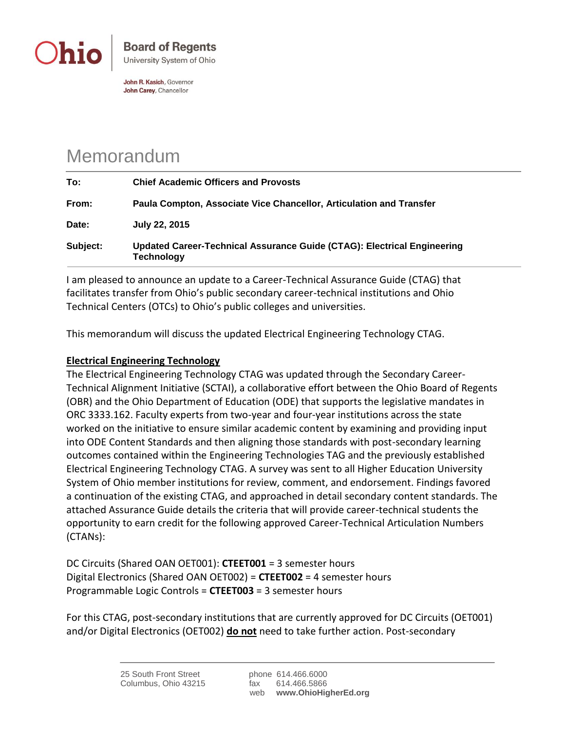

John R. Kasich, Governor John Carey, Chancellor

## Memorandum

| Subject: | Updated Career-Technical Assurance Guide (CTAG): Electrical Engineering<br><b>Technology</b> |
|----------|----------------------------------------------------------------------------------------------|
| Date:    | July 22, 2015                                                                                |
| From:    | Paula Compton, Associate Vice Chancellor, Articulation and Transfer                          |
| To:      | <b>Chief Academic Officers and Provosts</b>                                                  |

I am pleased to announce an update to a Career-Technical Assurance Guide (CTAG) that facilitates transfer from Ohio's public secondary career-technical institutions and Ohio Technical Centers (OTCs) to Ohio's public colleges and universities.

This memorandum will discuss the updated Electrical Engineering Technology CTAG.

## **Electrical Engineering Technology**

The Electrical Engineering Technology CTAG was updated through the Secondary Career-Technical Alignment Initiative (SCTAI), a collaborative effort between the Ohio Board of Regents (OBR) and the Ohio Department of Education (ODE) that supports the legislative mandates in ORC 3333.162. Faculty experts from two-year and four-year institutions across the state worked on the initiative to ensure similar academic content by examining and providing input into ODE Content Standards and then aligning those standards with post-secondary learning outcomes contained within the Engineering Technologies TAG and the previously established Electrical Engineering Technology CTAG. A survey was sent to all Higher Education University System of Ohio member institutions for review, comment, and endorsement. Findings favored a continuation of the existing CTAG, and approached in detail secondary content standards. The attached Assurance Guide details the criteria that will provide career-technical students the opportunity to earn credit for the following approved Career-Technical Articulation Numbers (CTANs):

DC Circuits (Shared OAN OET001): **CTEET001** = 3 semester hours Digital Electronics (Shared OAN OET002) = **CTEET002** = 4 semester hours Programmable Logic Controls = **CTEET003** = 3 semester hours

For this CTAG, post-secondary institutions that are currently approved for DC Circuits (OET001) and/or Digital Electronics (OET002) **do not** need to take further action. Post-secondary